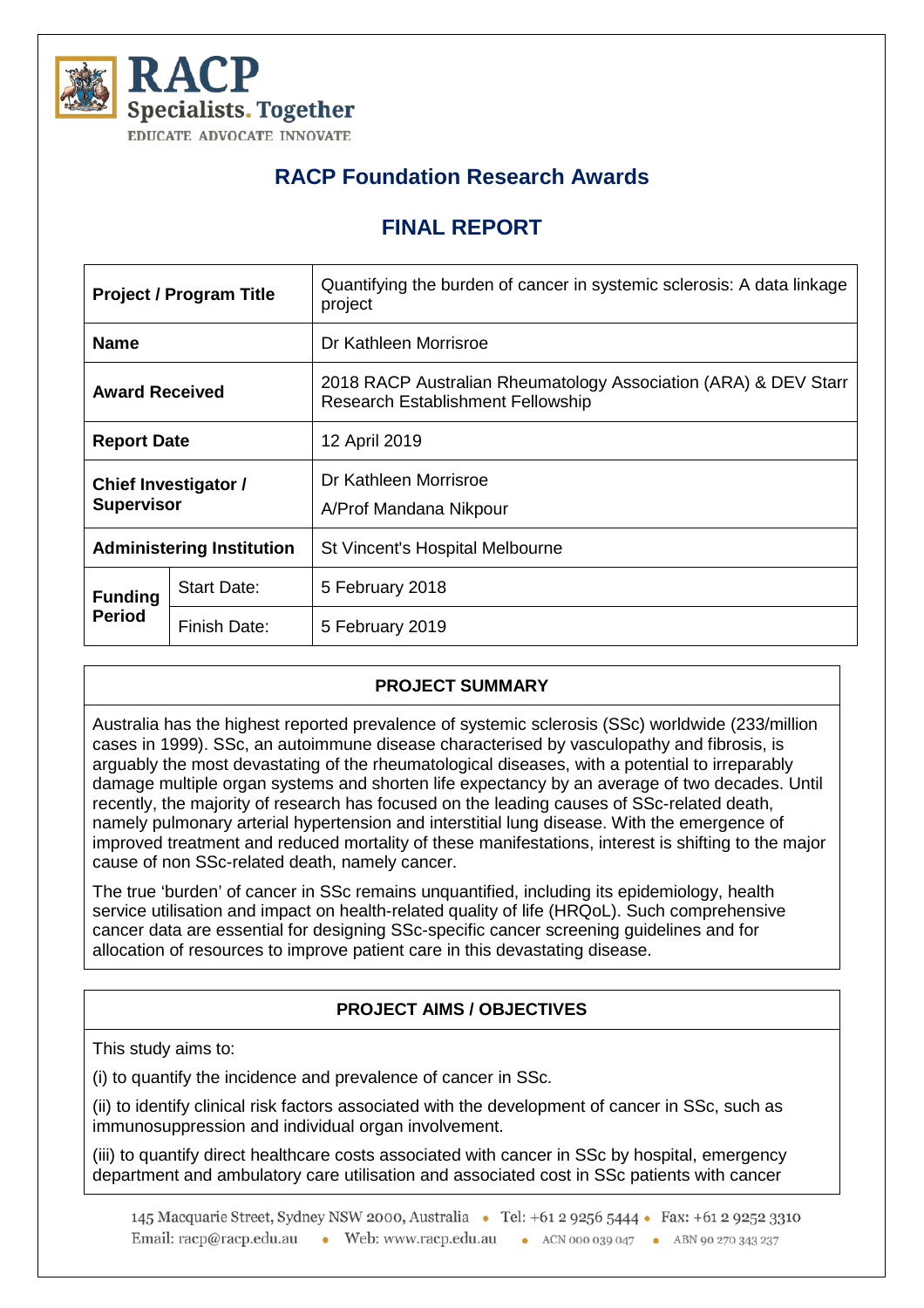

# **RACP Foundation Research Awards**

## **FINAL REPORT**

| <b>Project / Program Title</b>                   |                    | Quantifying the burden of cancer in systemic sclerosis: A data linkage<br>project                           |
|--------------------------------------------------|--------------------|-------------------------------------------------------------------------------------------------------------|
| <b>Name</b>                                      |                    | Dr Kathleen Morrisroe                                                                                       |
| <b>Award Received</b>                            |                    | 2018 RACP Australian Rheumatology Association (ARA) & DEV Starr<br><b>Research Establishment Fellowship</b> |
| <b>Report Date</b>                               |                    | 12 April 2019                                                                                               |
| <b>Chief Investigator /</b><br><b>Supervisor</b> |                    | Dr Kathleen Morrisroe<br>A/Prof Mandana Nikpour                                                             |
| <b>Administering Institution</b>                 |                    | St Vincent's Hospital Melbourne                                                                             |
| <b>Funding</b><br><b>Period</b>                  | <b>Start Date:</b> | 5 February 2018                                                                                             |
|                                                  | Finish Date:       | 5 February 2019                                                                                             |

## **PROJECT SUMMARY**

Australia has the highest reported prevalence of systemic sclerosis (SSc) worldwide (233/million cases in 1999). SSc, an autoimmune disease characterised by vasculopathy and fibrosis, is arguably the most devastating of the rheumatological diseases, with a potential to irreparably damage multiple organ systems and shorten life expectancy by an average of two decades. Until recently, the majority of research has focused on the leading causes of SSc-related death, namely pulmonary arterial hypertension and interstitial lung disease. With the emergence of improved treatment and reduced mortality of these manifestations, interest is shifting to the major cause of non SSc-related death, namely cancer.

The true 'burden' of cancer in SSc remains unquantified, including its epidemiology, health service utilisation and impact on health-related quality of life (HRQoL). Such comprehensive cancer data are essential for designing SSc-specific cancer screening guidelines and for allocation of resources to improve patient care in this devastating disease.

## **PROJECT AIMS / OBJECTIVES**

This study aims to:

(i) to quantify the incidence and prevalence of cancer in SSc.

(ii) to identify clinical risk factors associated with the development of cancer in SSc, such as immunosuppression and individual organ involvement.

(iii) to quantify direct healthcare costs associated with cancer in SSc by hospital, emergency department and ambulatory care utilisation and associated cost in SSc patients with cancer